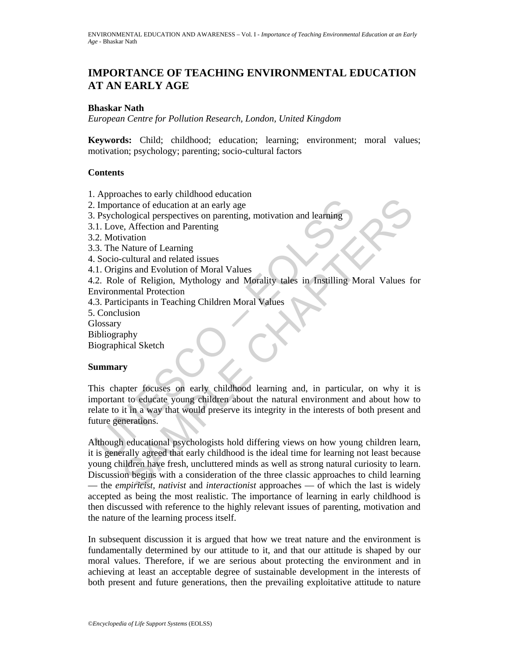# **IMPORTANCE OF TEACHING ENVIRONMENTAL EDUCATION AT AN EARLY AGE**

### **Bhaskar Nath**

*European Centre for Pollution Research, London, United Kingdom* 

**Keywords:** Child; childhood; education; learning; environment; moral values; motivation; psychology; parenting; socio-cultural factors

### **Contents**

- 1. Approaches to early childhood education
- 2. Importance of education at an early age
- 3. Psychological perspectives on parenting, motivation and learning
- 3.1. Love, Affection and Parenting
- 3.2. Motivation
- 3.3. The Nature of Learning
- 4. Socio-cultural and related issues
- 4.1. Origins and Evolution of Moral Values

4.2. Role of Religion, Mythology and Morality tales in Instilling Moral Values for Environmental Protection

4.3. Participants in Teaching Children Moral Values

5. Conclusion

**Glossary** 

Bibliography

Biographical Sketch

### **Summary**

Importance of education at an early age<br>
Psychological perspectives on parenting, motivation and learning<br>
1. Love, Affection and Parenting<br>
1. Love, Affection and Parenting<br>
3. The Nature of Learning<br>
3. The Nature of Lea This chapter focuses on early childhood learning and, in particular, on why it is important to educate young children about the natural environment and about how to relate to it in a way that would preserve its integrity in the interests of both present and future generations.

Extract of education at an early age<br>
scale of education at an early age<br>
chological perspectives on parenting, motivation and learning<br>
chological perspectives on parenting, motivation and learning<br>
wature of Learning<br>
me Although educational psychologists hold differing views on how young children learn, it is generally agreed that early childhood is the ideal time for learning not least because young children have fresh, uncluttered minds as well as strong natural curiosity to learn. Discussion begins with a consideration of the three classic approaches to child learning — the *empiricist, nativist* and *interactionist* approaches — of which the last is widely accepted as being the most realistic. The importance of learning in early childhood is then discussed with reference to the highly relevant issues of parenting, motivation and the nature of the learning process itself.

In subsequent discussion it is argued that how we treat nature and the environment is fundamentally determined by our attitude to it, and that our attitude is shaped by our moral values. Therefore, if we are serious about protecting the environment and in achieving at least an acceptable degree of sustainable development in the interests of both present and future generations, then the prevailing exploitative attitude to nature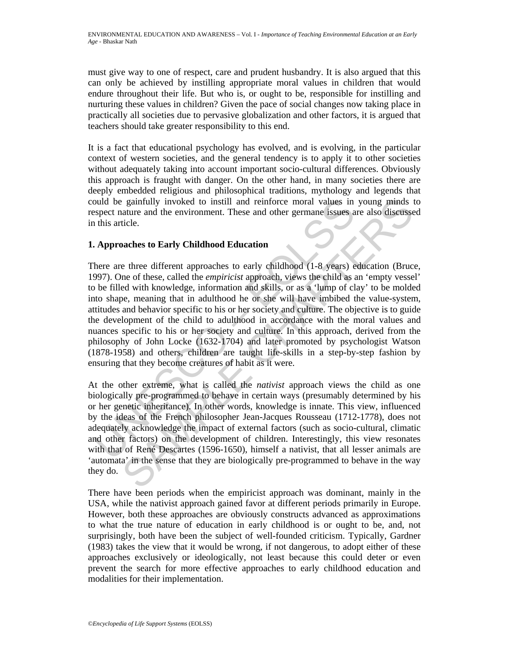must give way to one of respect, care and prudent husbandry. It is also argued that this can only be achieved by instilling appropriate moral values in children that would endure throughout their life. But who is, or ought to be, responsible for instilling and nurturing these values in children? Given the pace of social changes now taking place in practically all societies due to pervasive globalization and other factors, it is argued that teachers should take greater responsibility to this end.

It is a fact that educational psychology has evolved, and is evolving, in the particular context of western societies, and the general tendency is to apply it to other societies without adequately taking into account important socio-cultural differences. Obviously this approach is fraught with danger. On the other hand, in many societies there are deeply embedded religious and philosophical traditions, mythology and legends that could be gainfully invoked to instill and reinforce moral values in young minds to respect nature and the environment. These and other germane issues are also discussed in this article.

# **1. Approaches to Early Childhood Education**

bould be gainfully invoked to instill and reinforce moral values in spect nature and the environment. These and other germane issues a this article.<br>
A **Approaches to Early Childhood Education**<br>
here are three different ap gainfully invoked to instill and reinforce moral values in young minds tature and the environment. These and other germane issues are also discusse<br>ticle.<br>anches to Early Childhood Education<br>mente of these, called the *emp* There are three different approaches to early childhood (1-8 years) education (Bruce, 1997). One of these, called the *empiricist* approach, views the child as an 'empty vessel' to be filled with knowledge, information and skills, or as a 'lump of clay' to be molded into shape, meaning that in adulthood he or she will have imbibed the value-system, attitudes and behavior specific to his or her society and culture. The objective is to guide the development of the child to adulthood in accordance with the moral values and nuances specific to his or her society and culture. In this approach, derived from the philosophy of John Locke (1632-1704) and later promoted by psychologist Watson (1878-1958) and others, children are taught life-skills in a step-by-step fashion by ensuring that they become creatures of habit as it were.

At the other extreme, what is called the *nativist* approach views the child as one biologically pre-programmed to behave in certain ways (presumably determined by his or her genetic inheritance). In other words, knowledge is innate. This view, influenced by the ideas of the French philosopher Jean-Jacques Rousseau (1712-1778), does not adequately acknowledge the impact of external factors (such as socio-cultural, climatic and other factors) on the development of children. Interestingly, this view resonates with that of René Descartes (1596-1650), himself a nativist, that all lesser animals are 'automata' in the sense that they are biologically pre-programmed to behave in the way they do.

There have been periods when the empiricist approach was dominant, mainly in the USA, while the nativist approach gained favor at different periods primarily in Europe. However, both these approaches are obviously constructs advanced as approximations to what the true nature of education in early childhood is or ought to be, and, not surprisingly, both have been the subject of well-founded criticism. Typically, Gardner (1983) takes the view that it would be wrong, if not dangerous, to adopt either of these approaches exclusively or ideologically, not least because this could deter or even prevent the search for more effective approaches to early childhood education and modalities for their implementation.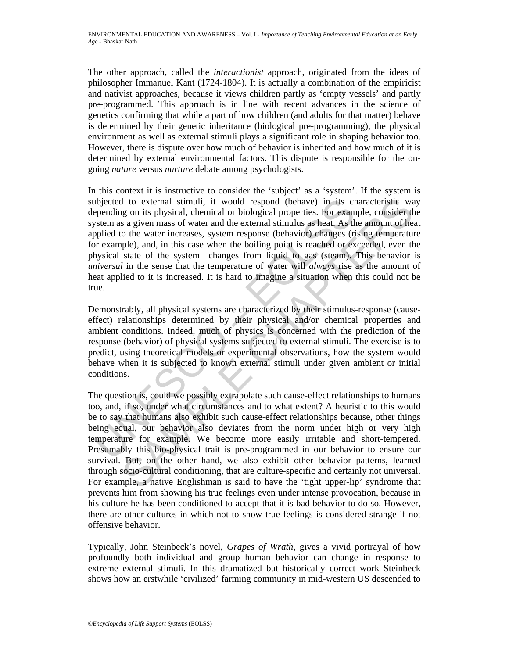The other approach, called the *interactionist* approach, originated from the ideas of philosopher Immanuel Kant (1724-1804). It is actually a combination of the empiricist and nativist approaches, because it views children partly as 'empty vessels' and partly pre-programmed. This approach is in line with recent advances in the science of genetics confirming that while a part of how children (and adults for that matter) behave is determined by their genetic inheritance (biological pre-programming), the physical environment as well as external stimuli plays a significant role in shaping behavior too. However, there is dispute over how much of behavior is inherited and how much of it is determined by external environmental factors. This dispute is responsible for the ongoing *nature* versus *nurture* debate among psychologists.

abjected to external stimuli, it would respond (behave) in its chepending on its physical, chemical or biological properties. For examples a a given mass of water and the external stimulus as heat, As they stylem as a give In this context it is instructive to consider the 'subject' as a 'system'. If the system is subjected to external stimuli, it would respond (behave) in its characteristic way depending on its physical, chemical or biological properties. For example, consider the system as a given mass of water and the external stimulus as heat. As the amount of heat applied to the water increases, system response (behavior) changes (rising temperature for example), and, in this case when the boiling point is reached or exceeded, even the physical state of the system changes from liquid to gas (steam). This behavior is *universal* in the sense that the temperature of water will *always* rise as the amount of heat applied to it is increased. It is hard to imagine a situation when this could not be true.

Demonstrably, all physical systems are characterized by their stimulus-response (causeeffect) relationships determined by their physical and/or chemical properties and ambient conditions. Indeed, much of physics is concerned with the prediction of the response (behavior) of physical systems subjected to external stimuli. The exercise is to predict, using theoretical models or experimental observations, how the system would behave when it is subjected to known external stimuli under given ambient or initial conditions.

I o cxternal stimuli, it would respond (behave) in its characteristic way on its physical, chemical or biological properties. For example, consider the say agiven mass of water and the external stimulus as heat. As the amo The question is, could we possibly extrapolate such cause-effect relationships to humans too, and, if so, under what circumstances and to what extent? A heuristic to this would be to say that humans also exhibit such cause-effect relationships because, other things being equal, our behavior also deviates from the norm under high or very high temperature for example. We become more easily irritable and short-tempered. Presumably this bio-physical trait is pre-programmed in our behavior to ensure our survival. But, on the other hand, we also exhibit other behavior patterns, learned through socio-cultural conditioning, that are culture-specific and certainly not universal. For example, a native Englishman is said to have the 'tight upper-lip' syndrome that prevents him from showing his true feelings even under intense provocation, because in his culture he has been conditioned to accept that it is bad behavior to do so. However, there are other cultures in which not to show true feelings is considered strange if not offensive behavior.

Typically, John Steinbeck's novel, *Grapes of Wrath*, gives a vivid portrayal of how profoundly both individual and group human behavior can change in response to extreme external stimuli. In this dramatized but historically correct work Steinbeck shows how an erstwhile 'civilized' farming community in mid-western US descended to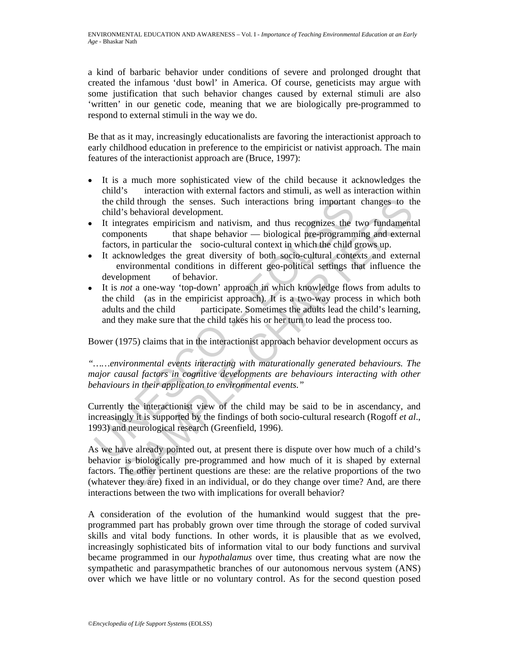a kind of barbaric behavior under conditions of severe and prolonged drought that created the infamous 'dust bowl' in America. Of course, geneticists may argue with some justification that such behavior changes caused by external stimuli are also 'written' in our genetic code, meaning that we are biologically pre-programmed to respond to external stimuli in the way we do.

Be that as it may, increasingly educationalists are favoring the interactionist approach to early childhood education in preference to the empiricist or nativist approach. The main features of the interactionist approach are (Bruce, 1997):

- It is a much more sophisticated view of the child because it acknowledges the child's interaction with external factors and stimuli, as well as interaction within the child through the senses. Such interactions bring important changes to the child's behavioral development.
- It integrates empiricism and nativism, and thus recognizes the two fundamental components that shape behavior — biological pre-programming and external factors, in particular the socio-cultural context in which the child grows up.
- It acknowledges the great diversity of both socio-cultural contexts and external environmental conditions in different geo-political settings that influence the development of behavior.
- the child through the senses. Such interactions bring important<br>child's behavioral development.<br>It integrates empiricism and nativism, and thus recognizes the<br>integrates empiricism and nativism, and thus recognizes the<br>co • It is *not* a one-way 'top-down' approach in which knowledge flows from adults to the child (as in the empiricist approach). It is a two-way process in which both adults and the child participate. Sometimes the adults lead the child's learning, and they make sure that the child takes his or her turn to lead the process too.

Bower (1975) claims that in the interactionist approach behavior development occurs as

*"……environmental events interacting with maturationally generated behaviours. The major causal factors in cognitive developments are behaviours interacting with other behaviours in their application to environmental events."* 

Currently the interactionist view of the child may be said to be in ascendancy, and increasingly it is supported by the findings of both socio-cultural research (Rogoff *et al*., 1993) and neurological research (Greenfield, 1996).

hild through the senses. Such interactions bring important changes to the sense<br>
Schwarbel development.<br>
Sehavior and nativism, and thus recognizes the two fundament<br>
segrates empiricism and nativism, and thus recognizes As we have already pointed out, at present there is dispute over how much of a child's behavior is biologically pre-programmed and how much of it is shaped by external factors. The other pertinent questions are these: are the relative proportions of the two (whatever they are) fixed in an individual, or do they change over time? And, are there interactions between the two with implications for overall behavior?

A consideration of the evolution of the humankind would suggest that the preprogrammed part has probably grown over time through the storage of coded survival skills and vital body functions. In other words, it is plausible that as we evolved, increasingly sophisticated bits of information vital to our body functions and survival became programmed in our *hypothalamus* over time, thus creating what are now the sympathetic and parasympathetic branches of our autonomous nervous system (ANS) over which we have little or no voluntary control. As for the second question posed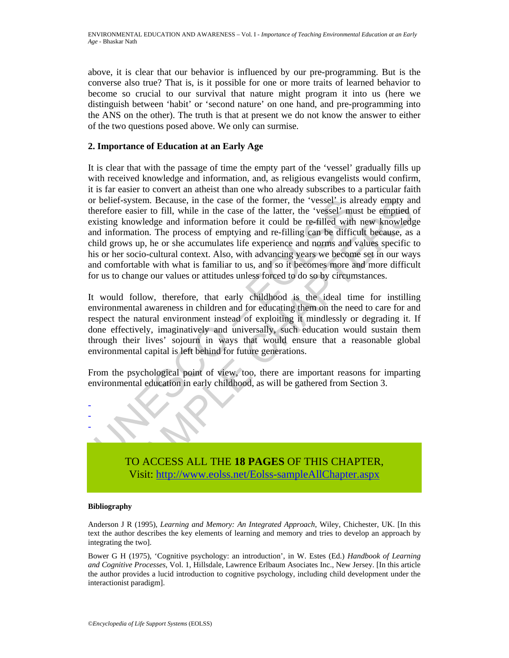above, it is clear that our behavior is influenced by our pre-programming. But is the converse also true? That is, is it possible for one or more traits of learned behavior to become so crucial to our survival that nature might program it into us (here we distinguish between 'habit' or 'second nature' on one hand, and pre-programming into the ANS on the other). The truth is that at present we do not know the answer to either of the two questions posed above. We only can surmise.

## **2. Importance of Education at an Early Age**

The belief-system. Because, in the case of the former, the 'vessel' is all entired to fill, while in the case of the latter, the 'vessel' is all entired to fill, while in the case of the latter, the 'vessel' in an informat system. Because, in the case of the former, the 'vessel' is already empty an casier to fill, while in the case of the latter, the 'vessel' mast be empired knowledge and information before it could be re-filled with new kno It is clear that with the passage of time the empty part of the 'vessel' gradually fills up with received knowledge and information, and, as religious evangelists would confirm, it is far easier to convert an atheist than one who already subscribes to a particular faith or belief-system. Because, in the case of the former, the 'vessel' is already empty and therefore easier to fill, while in the case of the latter, the 'vessel' must be emptied of existing knowledge and information before it could be re-filled with new knowledge and information. The process of emptying and re-filling can be difficult because, as a child grows up, he or she accumulates life experience and norms and values specific to his or her socio-cultural context. Also, with advancing years we become set in our ways and comfortable with what is familiar to us, and so it becomes more and more difficult for us to change our values or attitudes unless forced to do so by circumstances.

It would follow, therefore, that early childhood is the ideal time for instilling environmental awareness in children and for educating them on the need to care for and respect the natural environment instead of exploiting it mindlessly or degrading it. If done effectively, imaginatively and universally, such education would sustain them through their lives' sojourn in ways that would ensure that a reasonable global environmental capital is left behind for future generations.

From the psychological point of view, too, there are important reasons for imparting environmental education in early childhood, as will be gathered from Section 3.

> TO ACCESS ALL THE **18 PAGES** OF THIS CHAPTER, Visit: http://www.eolss.net/Eolss-sampleAllChapter.aspx

### **Bibliography**

- - -

Anderson J R (1995), *Learning and Memory: An Integrated Approach*, Wiley, Chichester, UK. [In this text the author describes the key elements of learning and memory and tries to develop an approach by integrating the two].

Bower G H (1975), 'Cognitive psychology: an introduction', in W. Estes (Ed.) *Handbook of Learning and Cognitive Processes*, Vol. 1, Hillsdale, Lawrence Erlbaum Asociates Inc., New Jersey. [In this article the author provides a lucid introduction to cognitive psychology, including child development under the interactionist paradigm].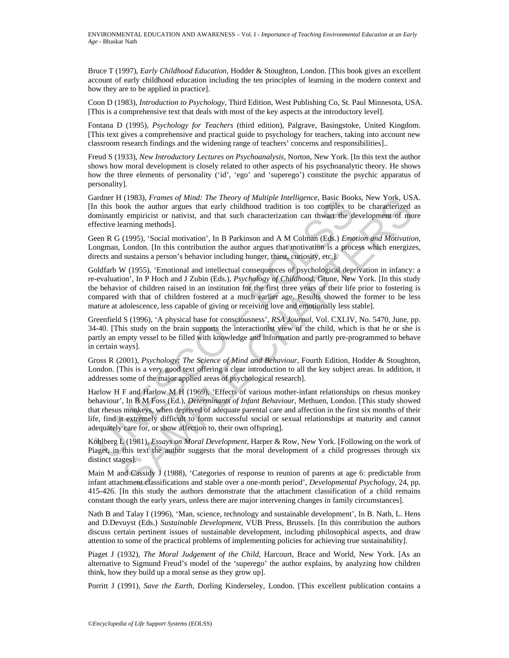Bruce T (1997), *Early Childhood Education*, Hodder & Stoughton, London. [This book gives an excellent account of early childhood education including the ten principles of learning in the modern context and how they are to be applied in practice].

Coon D (1983), *Introduction to Psychology*, Third Edition, West Publishing Co, St. Paul Minnesota, USA. [This is a comprehensive text that deals with most of the key aspects at the introductory level].

Fontana D (1995), *Psychology for Teachers* (third edition), Palgrave, Basingstoke, United Kingdom. [This text gives a comprehensive and practical guide to psychology for teachers, taking into account new classroom research findings and the widening range of teachers' concerns and responsibilities]..

Freud S (1933), *New Introductory Lectures on Psychoanalysis*, Norton, New York. [In this text the author shows how moral development is closely related to other aspects of his psychoanalytic theory. He shows how the three elements of personality ('id', 'ego' and 'superego') constitute the psychic apparatus of personality].

Gardner H (1983), *Frames of Mind: The Theory of Multiple Intelligence*, Basic Books, New York, USA. [In this book the author argues that early childhood tradition is too complex to be characterized as dominantly empiricist or nativist, and that such characterization can thwart the development of more effective learning methods].

Geen R G (1995), 'Social motivation', In B Parkinson and A M Colman (Eds.) *Emotion and Motivation*, Longman, London. [In this contribution the author argues that motivation is a process which energizes, directs and sustains a person's behavior including hunger, thirst, curiosity, etc.].

Goldfarb W (1955), 'Emotional and intellectual consequences of psychological deprivation in infancy: a re-evaluation', In P Hoch and J Zubin (Eds.), *Psychology of Childhood*, Grune, New York. [In this study the behavior of children raised in an institution for the first three years of their life prior to fostering is compared with that of children fostered at a much earlier age. Results showed the former to be less mature at adolescence, less capable of giving or receiving love and emotionally less stable].

Greenfield S (1996), 'A physical base for consciousness', *RSA Journal*, Vol. CXLIV, No. 5470, June, pp. 34-40. [This study on the brain supports the interactionist view of the child, which is that he or she is partly an empty vessel to be filled with knowledge and information and partly pre-programmed to behave in certain ways].

Gross R (2001), *Psychology: The Science of Mind and Behaviour*, Fourth Edition, Hodder & Stoughton, London. [This is a very good text offering a clear introduction to all the key subject areas. In addition, it addresses some of the major applied areas of psychological research].

arener H (1985), *Frames of mma: The Theory of militing in metangelece*, Basic Boother and this book the author argues that early childhood tradition is too complex to miniantly empiricist or nativist, and that such charac SAMPLE CHAPTERS Harlow H F and Harlow M H (1969), 'Effects of various mother-infant relationships on rhesus monkey behaviour', In B M Foss (Ed.), *Determinants of Infant Behaviour*, Methuen, London. [This study showed that rhesus monkeys, when deprived of adequate parental care and affection in the first six months of their life, find it extremely difficult to form successful social or sexual relationships at maturity and cannot adequately care for, or show affection to, their own offspring].

Kohlberg L (1981), *Essays on Moral Development*, Harper & Row, New York. [Following on the work of Piaget, in this text the author suggests that the moral development of a child progresses through six distinct stages].

Main M and Cassidy J (1988), 'Categories of response to reunion of parents at age 6: predictable from infant attachment classifications and stable over a one-month period', *Developmental Psychology*, 24, pp. 415-426. [In this study the authors demonstrate that the attachment classification of a child remains constant though the early years, unless there are major intervening changes in family circumstances].

Nath B and Talay I (1996), 'Man, science, technology and sustainable development', In B. Nath, L. Hens and D.Devuyst (Eds.) *Sustainable Development*, VUB Press, Brussels. [In this contribution the authors discuss certain pertinent issues of sustainable development, including philosophical aspects, and draw attention to some of the practical problems of implementing policies for achieving true sustainability].

Piaget J (1932), *The Moral Judgement of the Child*, Harcourt, Brace and World, New York. [As an alternative to Sigmund Freud's model of the 'superego' the author explains, by analyzing how children think, how they build up a moral sense as they grow up].

Porritt J (1991), *Save the Earth*, Dorling Kinderseley, London. [This excellent publication contains a